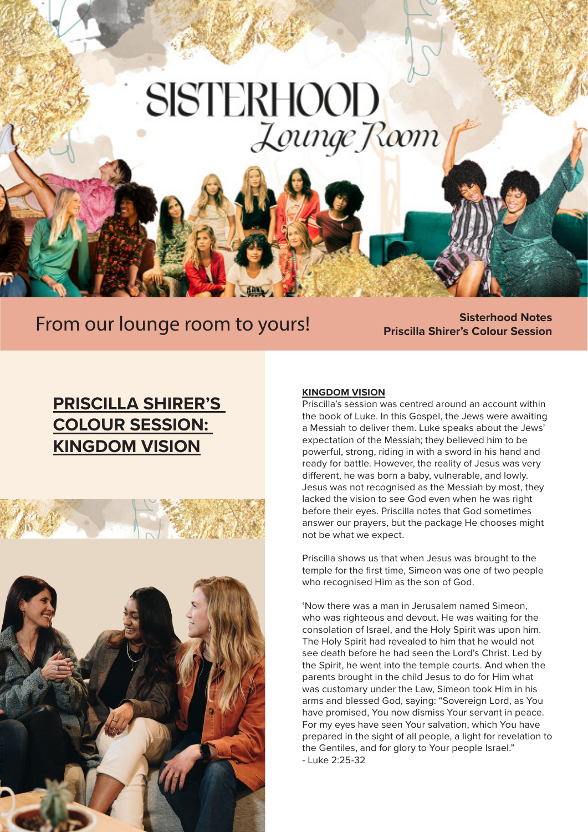# **SISTERHOOD** Lounge Room

### **From our lounge room to yours! Sisterhood Notes**

# **Priscilla Shirer's Colour Session**

### **PRISCILLA SHIRER'S COLOUR SESSION: KINGDOM VISION**



#### **KINGDOM VISION**

Priscilla's session was centred around an account within the book of Luke. In this Gospel, the Jews were awaiting a Messiah to deliver them. Luke speaks about the Jews' expectation of the Messiah; they believed him to be powerful, strong, riding in with a sword in his hand and ready for battle. However, the reality of Jesus was very different, he was born a baby, vulnerable, and lowly. Jesus was not recognised as the Messiah by most, they lacked the vision to see God even when he was right before their eyes. Priscilla notes that God sometimes answer our prayers, but the package He chooses might not be what we expect.

Priscilla shows us that when Jesus was brought to the temple for the first time, Simeon was one of two people who recognised Him as the son of God.

'Now there was a man in Jerusalem named Simeon, who was righteous and devout. He was waiting for the consolation of Israel, and the Holy Spirit was upon him. The Holy Spirit had revealed to him that he would not see death before he had seen the Lord's Christ. Led by the Spirit, he went into the temple courts. And when the parents brought in the child Jesus to do for Him what was customary under the Law, Simeon took Him in his arms and blessed God, saying: "Sovereign Lord, as You have promised, You now dismiss Your servant in peace. For my eyes have seen Your salvation, which You have prepared in the sight of all people, a light for revelation to the Gentiles, and for glory to Your people Israel." - Luke 2:25-32